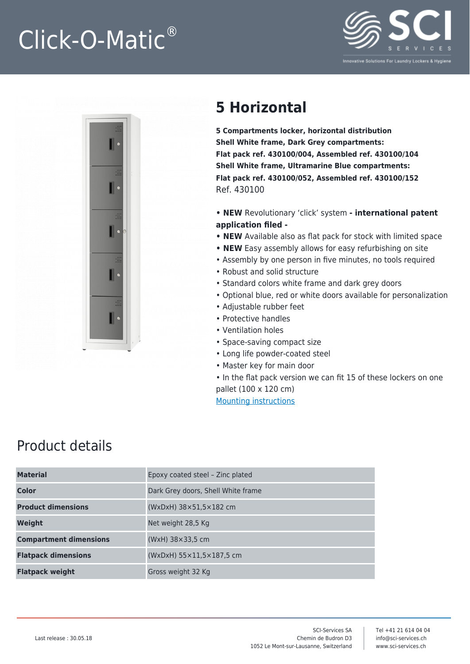## Click-O-Matic®





## **5 Horizontal**

**5 Compartments locker, horizontal distribution Shell White frame, Dark Grey compartments: Flat pack ref. 430100/004, Assembled ref. 430100/104 Shell White frame, Ultramarine Blue compartments: Flat pack ref. 430100/052, Assembled ref. 430100/152** Ref. 430100

**• NEW** Revolutionary 'click' system **- international patent application filed -**

- **NEW** Available also as flat pack for stock with limited space
- **NEW** Easy assembly allows for easy refurbishing on site
- Assembly by one person in five minutes, no tools required
- Robust and solid structure
- Standard colors white frame and dark grey doors
- Optional blue, red or white doors available for personalization
- Adjustable rubber feet
- Protective handles
- Ventilation holes
- Space-saving compact size
- Long life powder-coated steel
- Master key for main door

• In the flat pack version we can fit 15 of these lockers on one pallet (100 x 120 cm) [Mounting instructions](https://www.sci-services.ch/wp-content/uploads/2021/09/430xx0-2021-03_Mounting_instructions_simple.pdf)

## Product details

| <b>Material</b>               | Epoxy coated steel - Zinc plated             |
|-------------------------------|----------------------------------------------|
| <b>Color</b>                  | Dark Grey doors, Shell White frame           |
| <b>Product dimensions</b>     | $(WxDxH)$ 38 $\times$ 51,5 $\times$ 182 cm   |
| Weight                        | Net weight 28,5 Kg                           |
| <b>Compartment dimensions</b> | (WxH) 38×33,5 cm                             |
| <b>Flatpack dimensions</b>    | $(WxDxH)$ 55 $\times$ 11,5 $\times$ 187,5 cm |
| <b>Flatpack weight</b>        | Gross weight 32 Kg                           |
|                               |                                              |